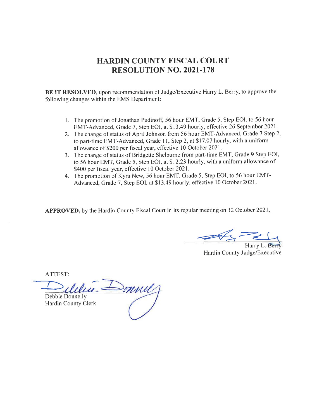### HARDIN COUNTY FISCAL COURT RESOLUTION NO. 202I.178

BE IT RESOLVED, upon recommendation of Judge/Executive Harry L. Berry, to approve the following changes within the EMS Department:

- 1. The promotion of Jonathan Pudinoff, 56 hour EMT, Grade 5, Step EOI, to 56 hour EMT-Advanced, Grade 7, Step EOI, at \$13.49 hourly, effective 26 September 2021.
- 2. The change of status of April Johnson from 56 hour EMT-Advanced, Grade 7 Step 2, to part-time EMT-Advanced, Grade 11, Step 2, at \$17.07 hourly, with a uniform allowance of \$200 per fiscal year, effective 10 October 2021.
- 3. The change of status of Bridgette Shelbume from part-time EMT, Grade 9 Step EOI, to 56 hour EMT, Grade 5, Step EOI, at 512.23 hourly, with a uniform allowance of \$400 per fiscal year, effective 10 October 2021.
- 4. The promotion of Kyra New, 56 hour EMT, Grade 5, Step EOI, to 56 hour EMT-Advanced, Grade 7, Step EOI, at \$13.49 hourly, effective l0 October 2021.

APPROVED, by the Hardin County Fiscal Court in its regular meeting on l2 October 2021

Harry L. Berr Hardin County Judge/Executive

 $\supset$ mul Debbie Donnelly Hardin County Clerk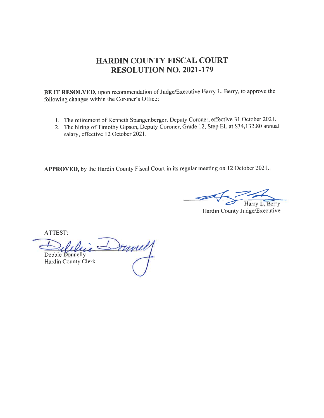# HARDIN COUNTY FISCAL COURT RESOLUTION NO. 2O2I-I79

BE IT RESOLVED, upon recommendation of Judge/Executive Harry L. Berry, to approve the following changes within the Coroner's Office:

- <sup>I</sup>. The retirement of Kenneth Spangenberger, Deputy Coroner, effective 3 I October 2021 .
- 2. The hiring of Timothy Gipson, Deputy Coroner, Grade 12, Step EL at \$34,132.80 annual salary, effective 12 October 2021.

APPROVED, by the Hardin County Fiscal Court in its regular meeting on 12 October 2021.

Harry L. Berry

Hardin County Judge/Executive

Donnel Debbie Donnelly Hardin County Clerk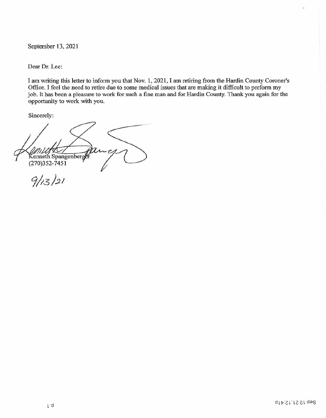September 13. 2021

Dear Dr. Lee:

<sup>I</sup>am writing this letter to inform you that Nov. 1, 2021, I am retiring from the Hardin County Coroner's Office. I feel the need to retire due to some medical issues that are making it difficult to perform my job. It has been a pleasure to work for such a fine man and for Hardin County. Thank you again for the opportunity to work with you.

Sincerely:

Kenneth Spangenberge  $(270)352 - 7451$  $9/13/21$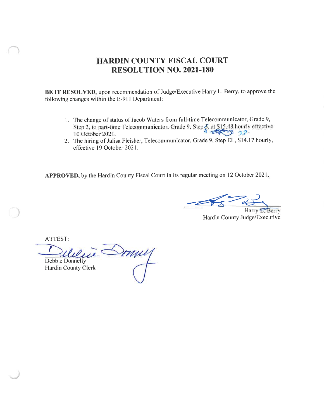### **HARDIN COUNTY FISCAL COURT RESOLUTION NO. 2021-180**

BE IT RESOLVED, upon recommendation of Judge/Executive Harry L. Berry, to approve the following changes within the E-911 Department:

- 1. The change of status of Jacob Waters from full-time Telecommunicator, Grade 9, Step 2, to part-time Telecommunicator, Grade 9, Step 3, at \$15.48 hourly effective 10 October 2021. 10 October 2021.
- 2. The hiring of Jalisa Fleisher, Telecommunicator, Grade 9, Step EL, \$14.17 hourly, effective 19 October 2021.

APPROVED, by the Hardin County Fiscal Court in its regular meeting on 12 October 2021.

Harry *L.* Berry

Hardin County Judge/Executive

**Debbie Donnelly** Hardin County Clerk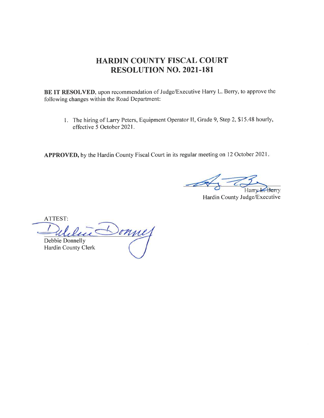# HARDIN COUNTY FISCAL COURT RESOLUTION NO. 2O2I.I8I

BE IT RESOLVED, upon recommendation of Judge/Executive Harry L. Berry, to approve the following changes within the Road Department:

1. The hiring of Larry Peters, Equipment Operator II, Grade 9, Step 2, \$15.48 hourly, effective 5 October 2021.

APPROVED, by the Hardin County Fiscal Court in its regular meeting on 12 October 2021.

Harry Berry

Hardin County Judge/Executive

ATTEST: donney Debbie Donnelly Hardin County Clerk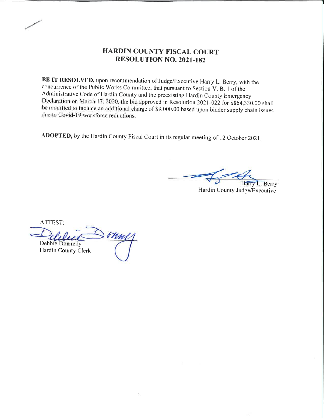### HARDIN COUNTY FISCAL COURT RBSOLUTION NO. 2021-182

BE IT RESOLVED, upon recommendation of Judge/Executive Harry L. Berry, with the concurrence of the Public Works Committee, that pursuant to Section V. B. I of the Administrative Code of Hardin County and the preexisting Hardin County Emergency Declaration on March 17, 2020, the bid approved in Resolution 2021-022 for \$864,330.00 shall be modified to include an additional charge of \$9,000.00 based upon bidder supply chain issues due to Covid-19 workforce reductions.

ADOPTED, by the Hardin County Fiscal Court in its regular meeting of 12 October 2021.

.. Berry

Hardin County Judge/Executive

ATTEST: onne Debbie Donnelly Hardin County Clerk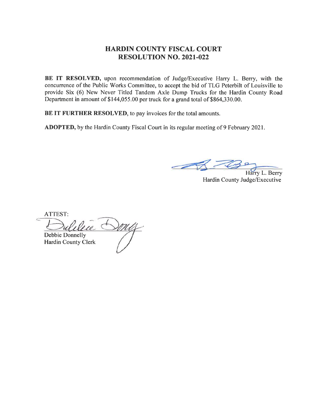#### **HARDIN COUNTY FISCAL COURT RESOLUTION NO. 2021-022**

BE IT RESOLVED, upon recommendation of Judge/Executive Harry L. Berry, with the concurrence of the Public Works Committee, to accept the bid of TLG Peterbilt of Louisville to provide Six (6) New Never Titled Tandem Axle Dump Trucks for the Hardin County Road Department in amount of \$144,055.00 per truck for a grand total of \$864,330.00.

BE IT FURTHER RESOLVED, to pay invoices for the total amounts.

ADOPTED, by the Hardin County Fiscal Court in its regular meeting of 9 February 2021.

Harry L. Berry

Hardin County Judge/Executive

ATTEST: Debbie Donnelly Hardin County Clerk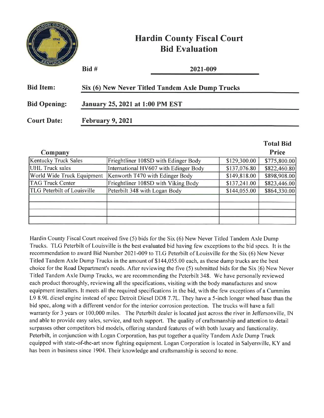

# **Hardin County Fiscal Court Bid Evaluation**

 $\mathbf{r}$  and  $\mathbf{r}$ 

|                     | $Bid#$                                 | 2021-009                                         |  |
|---------------------|----------------------------------------|--------------------------------------------------|--|
| <b>Bid Item:</b>    |                                        | Six (6) New Never Titled Tandem Axle Dump Trucks |  |
| <b>Bid Opening:</b> | <b>January 25, 2021 at 1:00 PM EST</b> |                                                  |  |
| <b>Court Date:</b>  | <b>February 9, 2021</b>                |                                                  |  |

|                                    |                                       |              | Total Bid    |
|------------------------------------|---------------------------------------|--------------|--------------|
| Company                            |                                       |              | <b>Price</b> |
| <b>Kentucky Truck Sales</b>        | Frieghtliner 108SD with Edinger Body  | \$129,300.00 | \$775,800.00 |
| UHL Truck sales                    | International HV607 with Edinger Body | \$137,076.80 | \$822,460.80 |
| World Wide Truck Equipment         | Kenworth T470 with Edinger Body       | \$149,818.00 | \$898,908.00 |
| <b>TAG Truck Center</b>            | Frieghtliner 108SD with Viking Body   | \$137,241.00 | \$823,446.00 |
| <b>TLG Peterbilt of Louisville</b> | Peterbilt 348 with Logan Body         | \$144,055.00 | \$864,330.00 |
|                                    |                                       |              |              |
|                                    |                                       |              |              |
|                                    |                                       |              |              |
|                                    |                                       |              |              |

Hardin County Fiscal Court received five (5) bids for the Six (6) New Never Titled Tandem Axle Dump Trucks. TLG Peterbilt of Louisville is the best evaluated bid having few exceptions to the bid specs. It is the recommendation to award Bid Number 2021-009 to TLG Peterbilt of Louisville for the Six (6) New Never Titled Tandem Axle Dump Trucks in the amount of \$144,055.00 each, as these dump trucks are the best choice for the Road Department's needs. After reviewing the five (5) submitted bids for the Six (6) New Never Titled Tandem Axle Dump Trucks, we are recommending the Peterbilt 348. We have personally reviewed each product thoroughly, reviewing all the specifications, visiting with the body manufactures and snow equipment installers. It meets all the required specifications in the bid, with the few exceptions of a Cummins L9 8.9L diesel engine instead of spec Detroit Diesel DD8 7.7L. They have a 5-inch longer wheel base than the bid spec, along with a different vendor for the interior corrosion protection. The trucks will have a full warranty for 3 years or 100,000 miles. The Peterbilt dealer is located just across the river in Jeffersonville, IN and able to provide easy sales, service, and tech support. The quality of craftsmanship and attention to detail surpasses other competitors bid models, offering standard features of with both luxury and functionality. Peterbilt, in conjunction with Logan Corporation, has put together a quality Tandem Axle Dump Truck equipped with state-of-the-art snow fighting equipment. Logan Corporation is located in Salversville, KY and has been in business since 1904. Their knowledge and craftsmanship is second to none.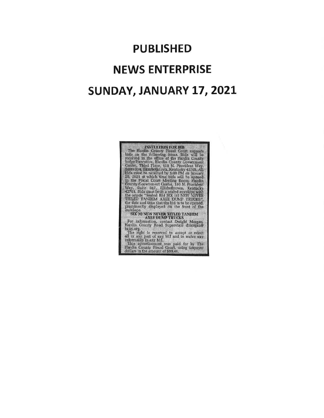# PUBLISHED NEWS ENTERPRISE SUNDAY, JANUARY 17, 2021

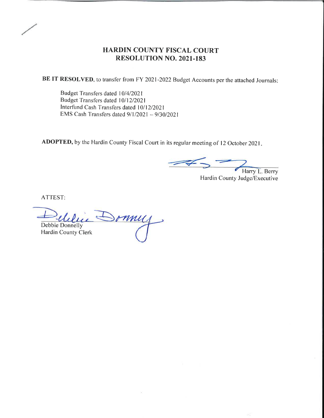### HARDIN COUNTY FISCAL COURT RESOLUTION NO. 2021.183

BE IT RESOLVED, to transfer from FY 2021-2022 Budget Accounts per the attached Journals:

Budget Transfers dated l0/4/2021 Budget Transfers dated 10/12/2021 Interfund Cash Transfers dated 10/12/2021 EMS Cash Transfers dated  $9/1/2021 - 9/30/2021$ 

ADOPTED, by the Hardin County Fiscal Court in its regular meeting of 12 October 2021.

Harry L. Berry Hardin County Judge/Executive

Sonney Debbie Donnellv Hardin County Clerk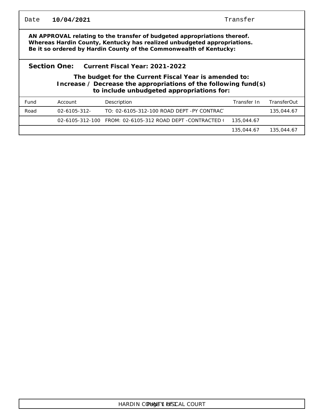| Date                                                                                                                                                                                                                         | 10/04/2021        |                                                                      | Transfer    |             |  |  |  |
|------------------------------------------------------------------------------------------------------------------------------------------------------------------------------------------------------------------------------|-------------------|----------------------------------------------------------------------|-------------|-------------|--|--|--|
| AN APPROVAL relating to the transfer of budgeted appropriations thereof.<br>Whereas Hardin County, Kentucky has realized unbudgeted appropriations.<br>Be it so ordered by Hardin County of the Commonwealth of Kentucky:    |                   |                                                                      |             |             |  |  |  |
| Section One:<br>Current Fiscal Year: 2021-2022<br>The budget for the Current Fiscal Year is amended to:<br>Increase $\ell$ Decrease the appropriations of the following fund(s)<br>to include unbudgeted appropriations for: |                   |                                                                      |             |             |  |  |  |
| Fund                                                                                                                                                                                                                         | Account           | Description                                                          | Transfer In | TransferOut |  |  |  |
| Road                                                                                                                                                                                                                         | $02 - 6105 - 312$ | TO: 02-6105-312-100 ROAD DEPT -PY CONTRACT                           |             | 135,044.67  |  |  |  |
|                                                                                                                                                                                                                              |                   | 02-6105-312-100    FROM: 02-6105-312    ROAD DEPT   -CONTRACTED    I | 135,044.67  |             |  |  |  |
|                                                                                                                                                                                                                              |                   |                                                                      | 135,044.67  | 135,044.67  |  |  |  |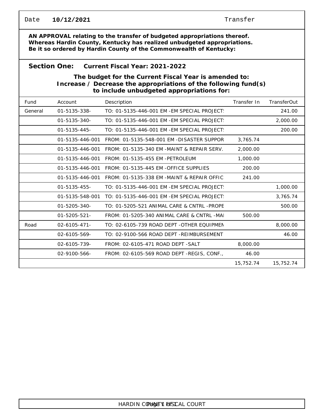| Date                                                                                                                                                                                                                      | 10/12/2021          |                                              | Transfer    |                    |  |  |  |  |
|---------------------------------------------------------------------------------------------------------------------------------------------------------------------------------------------------------------------------|---------------------|----------------------------------------------|-------------|--------------------|--|--|--|--|
| AN APPROVAL relating to the transfer of budgeted appropriations thereof.<br>Whereas Hardin County, Kentucky has realized unbudgeted appropriations.<br>Be it so ordered by Hardin County of the Commonwealth of Kentucky: |                     |                                              |             |                    |  |  |  |  |
|                                                                                                                                                                                                                           | Section One:        | Current Fiscal Year: 2021-2022               |             |                    |  |  |  |  |
| The budget for the Current Fiscal Year is amended to:<br>Increase / Decrease the appropriations of the following fund(s)<br>to include unbudgeted appropriations for:                                                     |                     |                                              |             |                    |  |  |  |  |
| Fund                                                                                                                                                                                                                      | Account             | Description                                  | Transfer In | <b>TransferOut</b> |  |  |  |  |
| General                                                                                                                                                                                                                   | 01-5135-338-        | TO: 01-5135-446-001 EM - EM SPECIAL PROJECT: |             | 241.00             |  |  |  |  |
|                                                                                                                                                                                                                           | $01 - 5135 - 340 -$ | TO: 01-5135-446-001 EM - EM SPECIAL PROJECT: |             | 2,000.00           |  |  |  |  |
|                                                                                                                                                                                                                           | $01 - 5135 - 445 -$ | TO: 01-5135-446-001 EM - EM SPECIAL PROJECT: |             | 200.00             |  |  |  |  |
|                                                                                                                                                                                                                           | 01-5135-446-001     | FROM: 01-5135-548-001 EM -DISASTER SUPPOR    | 3,765.74    |                    |  |  |  |  |
|                                                                                                                                                                                                                           | 01-5135-446-001     | FROM: 01-5135-340 EM -MAINT & REPAIR SERV.   | 2,000.00    |                    |  |  |  |  |
|                                                                                                                                                                                                                           | 01-5135-446-001     | FROM: 01-5135-455 EM -PETROLEUM              | 1,000.00    |                    |  |  |  |  |
|                                                                                                                                                                                                                           | 01-5135-446-001     | FROM: 01-5135-445 EM -OFFICE SUPPLIES        | 200.00      |                    |  |  |  |  |
|                                                                                                                                                                                                                           | 01-5135-446-001     | FROM: 01-5135-338 EM -MAINT & REPAIR OFFIC   | 241.00      |                    |  |  |  |  |
|                                                                                                                                                                                                                           | $01 - 5135 - 455 -$ | TO: 01-5135-446-001 EM - EM SPECIAL PROJECT: |             | 1,000.00           |  |  |  |  |
|                                                                                                                                                                                                                           | 01-5135-548-001     | TO: 01-5135-446-001 EM - EM SPECIAL PROJECT: |             | 3,765.74           |  |  |  |  |
|                                                                                                                                                                                                                           | 01-5205-340-        | TO: 01-5205-521 ANIMAL CARE & CNTRL -PROPE   |             | 500.00             |  |  |  |  |
|                                                                                                                                                                                                                           | $01 - 5205 - 521 -$ | FROM: 01-5205-340 ANIMAL CARE & CNTRL -MA    | 500.00      |                    |  |  |  |  |
| Road                                                                                                                                                                                                                      | $02 - 6105 - 471 -$ | TO: 02-6105-739 ROAD DEPT -OTHER EQUIPMEN    |             | 8,000.00           |  |  |  |  |
|                                                                                                                                                                                                                           | 02-6105-569-        | TO: 02-9100-566 ROAD DEPT -REIMBURSEMENT     |             | 46.00              |  |  |  |  |
|                                                                                                                                                                                                                           | 02-6105-739-        | FROM: 02-6105-471 ROAD DEPT - SALT           | 8,000.00    |                    |  |  |  |  |
|                                                                                                                                                                                                                           | 02-9100-566-        | FROM: 02-6105-569 ROAD DEPT -REGIS, CONF.,   | 46.00       |                    |  |  |  |  |
|                                                                                                                                                                                                                           |                     |                                              | 15,752.74   | 15,752.74          |  |  |  |  |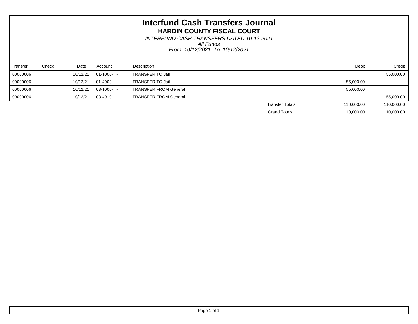*From: 10/12/2021 To: 10/12/2021 All Funds INTERFUND CASH TRANSFERS DATED 10-12-2021*

| Transfer | Check | Date     | Account     | Description                  |                        | Debit      | Credit     |
|----------|-------|----------|-------------|------------------------------|------------------------|------------|------------|
| 00000006 |       | 10/12/21 | $01-1000 -$ | <b>TRANSFER TO Jail</b>      |                        |            | 55,000.00  |
| 00000006 |       | 10/12/21 | 01-4909- -  | <b>TRANSFER TO Jail</b>      |                        | 55,000.00  |            |
| 00000006 |       | 10/12/21 | $03-1000 -$ | <b>TRANSFER FROM General</b> |                        | 55,000.00  |            |
| 00000006 |       | 10/12/21 | 03-4910- -  | <b>TRANSFER FROM General</b> |                        |            | 55,000.00  |
|          |       |          |             |                              | <b>Transfer Totals</b> | 110,000.00 | 110,000.00 |
|          |       |          |             |                              | <b>Grand Totals</b>    | 110,000.00 | 110,000.00 |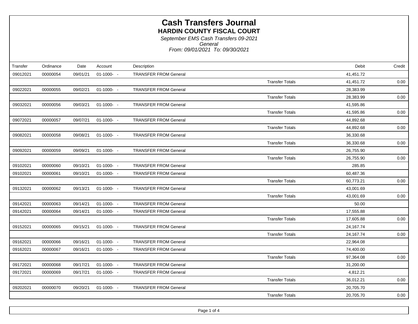| Transfer | Ordinance | Date     | Account     | Description                  |                        | Debit     | Credit |
|----------|-----------|----------|-------------|------------------------------|------------------------|-----------|--------|
| 09012021 | 00000054  | 09/01/21 | $01-1000 -$ | <b>TRANSFER FROM General</b> |                        | 41,451.72 |        |
|          |           |          |             |                              | <b>Transfer Totals</b> | 41,451.72 | 0.00   |
| 09022021 | 00000055  | 09/02/21 | $01-1000 -$ | <b>TRANSFER FROM General</b> |                        | 28,383.99 |        |
|          |           |          |             |                              | <b>Transfer Totals</b> | 28,383.99 | 0.00   |
| 09032021 | 00000056  | 09/03/21 | $01-1000 -$ | <b>TRANSFER FROM General</b> |                        | 41,595.86 |        |
|          |           |          |             |                              | <b>Transfer Totals</b> | 41,595.86 | 0.00   |
| 09072021 | 00000057  | 09/07/21 | $01-1000 -$ | <b>TRANSFER FROM General</b> |                        | 44,892.68 |        |
|          |           |          |             |                              | <b>Transfer Totals</b> | 44,892.68 | 0.00   |
| 09082021 | 00000058  | 09/08/21 | $01-1000 -$ | <b>TRANSFER FROM General</b> |                        | 36,330.68 |        |
|          |           |          |             |                              | <b>Transfer Totals</b> | 36,330.68 | 0.00   |
| 09092021 | 00000059  | 09/09/21 | $01-1000 -$ | <b>TRANSFER FROM General</b> |                        | 26,755.90 |        |
|          |           |          |             |                              | <b>Transfer Totals</b> | 26,755.90 | 0.00   |
| 09102021 | 00000060  | 09/10/21 | $01-1000 -$ | <b>TRANSFER FROM General</b> |                        | 285.85    |        |
| 09102021 | 00000061  | 09/10/21 | $01-1000 -$ | <b>TRANSFER FROM General</b> |                        | 60,487.36 |        |
|          |           |          |             |                              | <b>Transfer Totals</b> | 60,773.21 | 0.00   |
| 09132021 | 00000062  | 09/13/21 | $01-1000 -$ | <b>TRANSFER FROM General</b> |                        | 43,001.69 |        |
|          |           |          |             |                              | <b>Transfer Totals</b> | 43,001.69 | 0.00   |
| 09142021 | 00000063  | 09/14/21 | $01-1000 -$ | <b>TRANSFER FROM General</b> |                        | 50.00     |        |
| 09142021 | 00000064  | 09/14/21 | $01-1000 -$ | <b>TRANSFER FROM General</b> |                        | 17,555.88 |        |
|          |           |          |             |                              | <b>Transfer Totals</b> | 17,605.88 | 0.00   |
| 09152021 | 00000065  | 09/15/21 | $01-1000 -$ | <b>TRANSFER FROM General</b> |                        | 24,167.74 |        |
|          |           |          |             |                              | <b>Transfer Totals</b> | 24,167.74 | 0.00   |
| 09162021 | 00000066  | 09/16/21 | $01-1000 -$ | <b>TRANSFER FROM General</b> |                        | 22,964.08 |        |
| 09162021 | 00000067  | 09/16/21 | $01-1000 -$ | <b>TRANSFER FROM General</b> |                        | 74,400.00 |        |
|          |           |          |             |                              | <b>Transfer Totals</b> | 97,364.08 | 0.00   |
| 09172021 | 00000068  | 09/17/21 | $01-1000 -$ | <b>TRANSFER FROM General</b> |                        | 31,200.00 |        |
| 09172021 | 00000069  | 09/17/21 | $01-1000 -$ | <b>TRANSFER FROM General</b> |                        | 4,812.21  |        |
|          |           |          |             |                              | <b>Transfer Totals</b> | 36,012.21 | 0.00   |
| 09202021 | 00000070  | 09/20/21 | $01-1000 -$ | <b>TRANSFER FROM General</b> |                        | 20,705.70 |        |
|          |           |          |             |                              | <b>Transfer Totals</b> | 20,705.70 | 0.00   |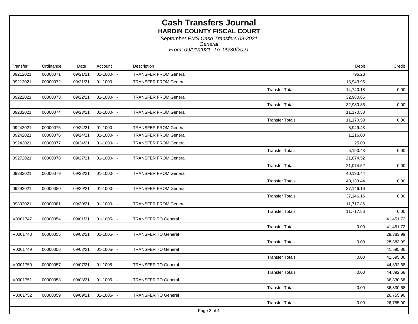| Transfer    | Ordinance | Date     | Account       | Description                  |                        | Debit     | Credit    |
|-------------|-----------|----------|---------------|------------------------------|------------------------|-----------|-----------|
| 09212021    | 00000071  | 09/21/21 | $01-1000 -$   | <b>TRANSFER FROM General</b> |                        | 796.23    |           |
| 09212021    | 00000072  | 09/21/21 | $01-1000 -$   | <b>TRANSFER FROM General</b> |                        | 13,943.95 |           |
|             |           |          |               |                              | <b>Transfer Totals</b> | 14,740.18 | 0.00      |
| 09222021    | 00000073  | 09/22/21 | $01-1000 -$   | <b>TRANSFER FROM General</b> |                        | 32,980.86 |           |
|             |           |          |               |                              | <b>Transfer Totals</b> | 32,980.86 | 0.00      |
| 09232021    | 00000074  | 09/23/21 | $01-1000 -$   | <b>TRANSFER FROM General</b> |                        | 11,170.58 |           |
|             |           |          |               |                              | <b>Transfer Totals</b> | 11,170.58 | 0.00      |
| 09242021    | 00000075  | 09/24/21 | $01-1000 -$   | <b>TRANSFER FROM General</b> |                        | 3,949.43  |           |
| 09242021    | 00000076  | 09/24/21 | $01-1000 -$   | <b>TRANSFER FROM General</b> |                        | 1,216.00  |           |
| 09242021    | 00000077  | 09/24/21 | $01-1000 -$   | <b>TRANSFER FROM General</b> |                        | 25.00     |           |
|             |           |          |               |                              | <b>Transfer Totals</b> | 5,190.43  | 0.00      |
| 09272021    | 00000078  | 09/27/21 | $01-1000 -$   | <b>TRANSFER FROM General</b> |                        | 21,074.52 |           |
|             |           |          |               |                              | <b>Transfer Totals</b> | 21,074.52 | 0.00      |
| 09282021    | 00000079  | 09/28/21 | $01-1000 -$   | <b>TRANSFER FROM General</b> |                        | 40,133.44 |           |
|             |           |          |               |                              | <b>Transfer Totals</b> | 40,133.44 | 0.00      |
| 09292021    | 00000080  | 09/29/21 | $01-1000 -$   | <b>TRANSFER FROM General</b> |                        | 37,146.16 |           |
|             |           |          |               |                              | <b>Transfer Totals</b> | 37,146.16 | 0.00      |
| 09302021    | 00000081  | 09/30/21 | $01-1000 -$   | <b>TRANSFER FROM General</b> |                        | 11,717.86 |           |
|             |           |          |               |                              | <b>Transfer Totals</b> | 11,717.86 | 0.00      |
| V0001747    | 00000054  | 09/01/21 | $01-1005 - -$ | <b>TRANSFER TO General</b>   |                        |           | 41,451.72 |
|             |           |          |               |                              | <b>Transfer Totals</b> | 0.00      | 41,451.72 |
| V0001748    | 00000055  | 09/02/21 | $01-1005 - -$ | <b>TRANSFER TO General</b>   |                        |           | 28,383.99 |
|             |           |          |               |                              | <b>Transfer Totals</b> | 0.00      | 28,383.99 |
| V0001749    | 00000056  | 09/03/21 | $01-1005 -$   | <b>TRANSFER TO General</b>   |                        |           | 41,595.86 |
|             |           |          |               |                              | <b>Transfer Totals</b> | 0.00      | 41,595.86 |
| V0001750    | 00000057  | 09/07/21 | $01-1005 -$   | <b>TRANSFER TO General</b>   |                        |           | 44,892.68 |
|             |           |          |               |                              | <b>Transfer Totals</b> | 0.00      | 44,892.68 |
| V0001751    | 00000058  | 09/08/21 | $01-1005 - -$ | <b>TRANSFER TO General</b>   |                        |           | 36,330.68 |
|             |           |          |               |                              | <b>Transfer Totals</b> | 0.00      | 36,330.68 |
| V0001752    | 00000059  | 09/09/21 | $01-1005 - -$ | <b>TRANSFER TO General</b>   |                        |           | 26,755.90 |
|             |           |          |               |                              | <b>Transfer Totals</b> | 0.00      | 26,755.90 |
| Page 2 of 4 |           |          |               |                              |                        |           |           |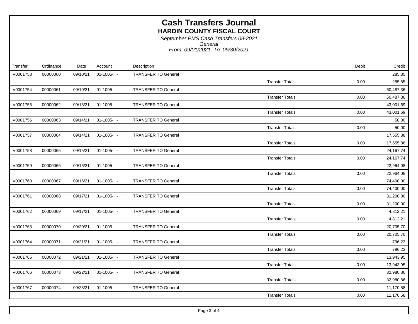|          |                                               |                                          |                            |                                                                                                                                                                                                                                                                                                                                                                    | Credit                                                                    |
|----------|-----------------------------------------------|------------------------------------------|----------------------------|--------------------------------------------------------------------------------------------------------------------------------------------------------------------------------------------------------------------------------------------------------------------------------------------------------------------------------------------------------------------|---------------------------------------------------------------------------|
|          |                                               |                                          |                            |                                                                                                                                                                                                                                                                                                                                                                    |                                                                           |
|          |                                               |                                          |                            |                                                                                                                                                                                                                                                                                                                                                                    | 285.85                                                                    |
|          |                                               |                                          |                            |                                                                                                                                                                                                                                                                                                                                                                    | 285.85                                                                    |
|          |                                               |                                          |                            |                                                                                                                                                                                                                                                                                                                                                                    | 60,487.36                                                                 |
|          |                                               |                                          |                            |                                                                                                                                                                                                                                                                                                                                                                    | 60,487.36                                                                 |
|          |                                               |                                          |                            |                                                                                                                                                                                                                                                                                                                                                                    | 43,001.69                                                                 |
|          |                                               |                                          |                            | <b>Transfer Totals</b><br>0.00                                                                                                                                                                                                                                                                                                                                     | 43,001.69                                                                 |
| 00000063 | 09/14/21                                      |                                          | <b>TRANSFER TO General</b> |                                                                                                                                                                                                                                                                                                                                                                    | 50.00                                                                     |
|          |                                               |                                          |                            | <b>Transfer Totals</b><br>0.00                                                                                                                                                                                                                                                                                                                                     | 50.00                                                                     |
| 00000064 | 09/14/21                                      |                                          | <b>TRANSFER TO General</b> |                                                                                                                                                                                                                                                                                                                                                                    | 17,555.88                                                                 |
|          |                                               |                                          |                            | <b>Transfer Totals</b><br>0.00                                                                                                                                                                                                                                                                                                                                     | 17,555.88                                                                 |
| 00000065 | 09/15/21                                      |                                          | <b>TRANSFER TO General</b> |                                                                                                                                                                                                                                                                                                                                                                    | 24,167.74                                                                 |
|          |                                               |                                          |                            | <b>Transfer Totals</b><br>0.00                                                                                                                                                                                                                                                                                                                                     | 24,167.74                                                                 |
| 00000066 | 09/16/21                                      |                                          | <b>TRANSFER TO General</b> |                                                                                                                                                                                                                                                                                                                                                                    | 22,964.08                                                                 |
|          |                                               |                                          |                            | <b>Transfer Totals</b><br>0.00                                                                                                                                                                                                                                                                                                                                     | 22,964.08                                                                 |
| 00000067 | 09/16/21                                      |                                          | <b>TRANSFER TO General</b> |                                                                                                                                                                                                                                                                                                                                                                    | 74,400.00                                                                 |
|          |                                               |                                          |                            | <b>Transfer Totals</b><br>0.00                                                                                                                                                                                                                                                                                                                                     | 74,400.00                                                                 |
| 00000068 | 09/17/21                                      |                                          | <b>TRANSFER TO General</b> |                                                                                                                                                                                                                                                                                                                                                                    | 31,200.00                                                                 |
|          |                                               |                                          |                            | <b>Transfer Totals</b><br>0.00                                                                                                                                                                                                                                                                                                                                     | 31,200.00                                                                 |
| 00000069 | 09/17/21                                      |                                          | <b>TRANSFER TO General</b> |                                                                                                                                                                                                                                                                                                                                                                    | 4,812.21                                                                  |
|          |                                               |                                          |                            | <b>Transfer Totals</b><br>0.00                                                                                                                                                                                                                                                                                                                                     | 4,812.21                                                                  |
| 00000070 | 09/20/21                                      |                                          | <b>TRANSFER TO General</b> |                                                                                                                                                                                                                                                                                                                                                                    | 20,705.70                                                                 |
|          |                                               |                                          |                            | <b>Transfer Totals</b><br>0.00                                                                                                                                                                                                                                                                                                                                     | 20,705.70                                                                 |
| 00000071 | 09/21/21                                      |                                          | <b>TRANSFER TO General</b> |                                                                                                                                                                                                                                                                                                                                                                    | 796.23                                                                    |
|          |                                               |                                          |                            | <b>Transfer Totals</b><br>0.00                                                                                                                                                                                                                                                                                                                                     | 796.23                                                                    |
| 00000072 | 09/21/21                                      |                                          | <b>TRANSFER TO General</b> |                                                                                                                                                                                                                                                                                                                                                                    | 13,943.95                                                                 |
|          |                                               |                                          |                            | <b>Transfer Totals</b><br>0.00                                                                                                                                                                                                                                                                                                                                     | 13,943.95                                                                 |
| 00000073 | 09/22/21                                      |                                          | <b>TRANSFER TO General</b> |                                                                                                                                                                                                                                                                                                                                                                    | 32,980.86                                                                 |
|          |                                               |                                          |                            | <b>Transfer Totals</b><br>0.00                                                                                                                                                                                                                                                                                                                                     | 32,980.86                                                                 |
| 00000074 | 09/23/21                                      |                                          | <b>TRANSFER TO General</b> |                                                                                                                                                                                                                                                                                                                                                                    | 11,170.58                                                                 |
|          |                                               |                                          |                            | <b>Transfer Totals</b><br>0.00                                                                                                                                                                                                                                                                                                                                     | 11,170.58                                                                 |
|          | Ordinance<br>00000060<br>00000061<br>00000062 | Date<br>09/10/21<br>09/10/21<br>09/13/21 | Account                    | Description<br><b>TRANSFER TO General</b><br>$01-1005 - -$<br><b>TRANSFER TO General</b><br>$01-1005 - -$<br>$01-1005 - -$<br><b>TRANSFER TO General</b><br>$01-1005 - -$<br>$01-1005 -$<br>$01-1005 - -$<br>$01-1005 - -$<br>$01-1005 - -$<br>$01-1005 - -$<br>$01-1005 - -$<br>$01-1005 - -$<br>$01-1005 - -$<br>$01-1005 - -$<br>$01-1005 - -$<br>$01-1005 - -$ | Debit<br>0.00<br><b>Transfer Totals</b><br><b>Transfer Totals</b><br>0.00 |